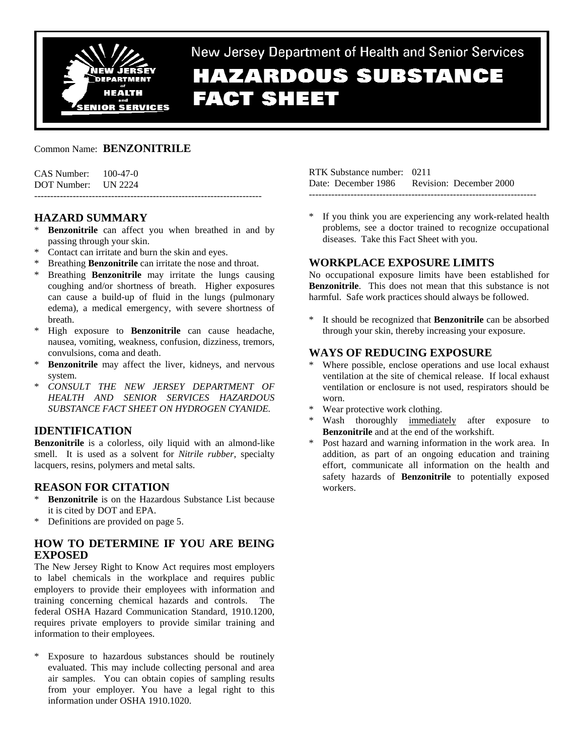

# New Jersey Department of Health and Senior Services **HAZARDOUS SUBSTANCE FACT SHEET**

## Common Name: **BENZONITRILE**

| CAS Number: | $100 - 47 - 0$ |
|-------------|----------------|
| DOT Number: | <b>UN 2224</b> |

# **HAZARD SUMMARY**

**Benzonitrile** can affect you when breathed in and by passing through your skin.

-----------------------------------------------------------------------

- \* Contact can irritate and burn the skin and eyes.
- Breathing **Benzonitrile** can irritate the nose and throat.
- \* Breathing **Benzonitrile** may irritate the lungs causing coughing and/or shortness of breath. Higher exposures can cause a build-up of fluid in the lungs (pulmonary edema), a medical emergency, with severe shortness of breath.
- \* High exposure to **Benzonitrile** can cause headache, nausea, vomiting, weakness, confusion, dizziness, tremors, convulsions, coma and death.
- \* **Benzonitrile** may affect the liver, kidneys, and nervous system.
- \* *CONSULT THE NEW JERSEY DEPARTMENT OF HEALTH AND SENIOR SERVICES HAZARDOUS SUBSTANCE FACT SHEET ON HYDROGEN CYANIDE.*

# **IDENTIFICATION**

**Benzonitrile** is a colorless, oily liquid with an almond-like smell. It is used as a solvent for *Nitrile rubber*, specialty lacquers, resins, polymers and metal salts.

# **REASON FOR CITATION**

- **Benzonitrile** is on the Hazardous Substance List because it is cited by DOT and EPA.
- Definitions are provided on page 5.

# **HOW TO DETERMINE IF YOU ARE BEING EXPOSED**

The New Jersey Right to Know Act requires most employers to label chemicals in the workplace and requires public employers to provide their employees with information and training concerning chemical hazards and controls. The federal OSHA Hazard Communication Standard, 1910.1200, requires private employers to provide similar training and information to their employees.

\* Exposure to hazardous substances should be routinely evaluated. This may include collecting personal and area air samples. You can obtain copies of sampling results from your employer. You have a legal right to this information under OSHA 1910.1020.

RTK Substance number: 0211 Date: December 1986 Revision: December 2000 -----------------------------------------------------------------------

If you think you are experiencing any work-related health problems, see a doctor trained to recognize occupational diseases. Take this Fact Sheet with you.

# **WORKPLACE EXPOSURE LIMITS**

No occupational exposure limits have been established for **Benzonitrile**. This does not mean that this substance is not harmful. Safe work practices should always be followed.

\* It should be recognized that **Benzonitrile** can be absorbed through your skin, thereby increasing your exposure.

# **WAYS OF REDUCING EXPOSURE**

- Where possible, enclose operations and use local exhaust ventilation at the site of chemical release. If local exhaust ventilation or enclosure is not used, respirators should be worn.
- Wear protective work clothing.
- Wash thoroughly immediately after exposure to **Benzonitrile** and at the end of the workshift.
- Post hazard and warning information in the work area. In addition, as part of an ongoing education and training effort, communicate all information on the health and safety hazards of **Benzonitrile** to potentially exposed workers.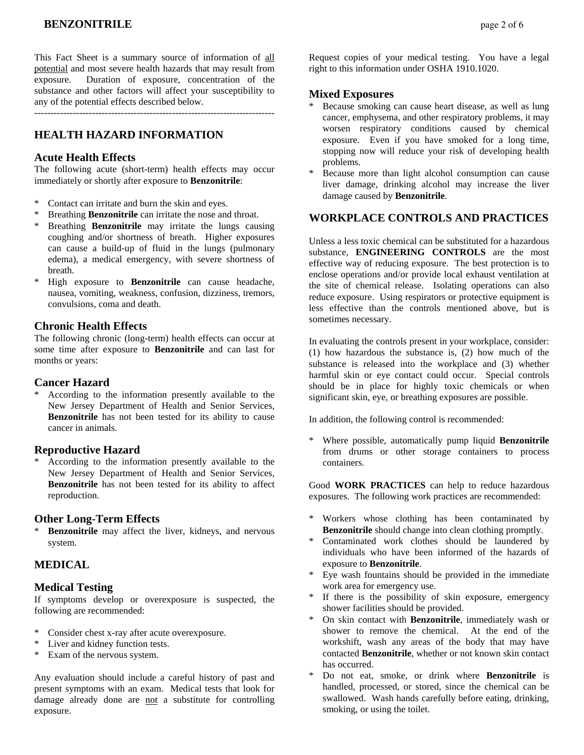This Fact Sheet is a summary source of information of all potential and most severe health hazards that may result from exposure. Duration of exposure, concentration of the substance and other factors will affect your susceptibility to any of the potential effects described below.

---------------------------------------------------------------------------

# **HEALTH HAZARD INFORMATION**

#### **Acute Health Effects**

The following acute (short-term) health effects may occur immediately or shortly after exposure to **Benzonitrile**:

- \* Contact can irritate and burn the skin and eyes.
- Breathing **Benzonitrile** can irritate the nose and throat.
- Breathing **Benzonitrile** may irritate the lungs causing coughing and/or shortness of breath. Higher exposures can cause a build-up of fluid in the lungs (pulmonary edema), a medical emergency, with severe shortness of breath.
- \* High exposure to **Benzonitrile** can cause headache, nausea, vomiting, weakness, confusion, dizziness, tremors, convulsions, coma and death.

## **Chronic Health Effects**

The following chronic (long-term) health effects can occur at some time after exposure to **Benzonitrile** and can last for months or years:

#### **Cancer Hazard**

According to the information presently available to the New Jersey Department of Health and Senior Services, **Benzonitrile** has not been tested for its ability to cause cancer in animals.

#### **Reproductive Hazard**

According to the information presently available to the New Jersey Department of Health and Senior Services, **Benzonitrile** has not been tested for its ability to affect reproduction.

#### **Other Long-Term Effects**

\* **Benzonitrile** may affect the liver, kidneys, and nervous system.

# **MEDICAL**

#### **Medical Testing**

If symptoms develop or overexposure is suspected, the following are recommended:

- \* Consider chest x-ray after acute overexposure.
- \* Liver and kidney function tests.
- \* Exam of the nervous system.

Any evaluation should include a careful history of past and present symptoms with an exam. Medical tests that look for damage already done are not a substitute for controlling exposure.

Request copies of your medical testing. You have a legal right to this information under OSHA 1910.1020.

# **Mixed Exposures**

- Because smoking can cause heart disease, as well as lung cancer, emphysema, and other respiratory problems, it may worsen respiratory conditions caused by chemical exposure. Even if you have smoked for a long time, stopping now will reduce your risk of developing health problems.
- Because more than light alcohol consumption can cause liver damage, drinking alcohol may increase the liver damage caused by **Benzonitrile**.

#### **WORKPLACE CONTROLS AND PRACTICES**

Unless a less toxic chemical can be substituted for a hazardous substance, **ENGINEERING CONTROLS** are the most effective way of reducing exposure. The best protection is to enclose operations and/or provide local exhaust ventilation at the site of chemical release. Isolating operations can also reduce exposure. Using respirators or protective equipment is less effective than the controls mentioned above, but is sometimes necessary.

In evaluating the controls present in your workplace, consider: (1) how hazardous the substance is, (2) how much of the substance is released into the workplace and (3) whether harmful skin or eye contact could occur. Special controls should be in place for highly toxic chemicals or when significant skin, eye, or breathing exposures are possible.

In addition, the following control is recommended:

\* Where possible, automatically pump liquid **Benzonitrile** from drums or other storage containers to process containers.

Good **WORK PRACTICES** can help to reduce hazardous exposures. The following work practices are recommended:

- Workers whose clothing has been contaminated by **Benzonitrile** should change into clean clothing promptly.
- Contaminated work clothes should be laundered by individuals who have been informed of the hazards of exposure to **Benzonitrile**.
- Eye wash fountains should be provided in the immediate work area for emergency use.
- If there is the possibility of skin exposure, emergency shower facilities should be provided.
- \* On skin contact with **Benzonitrile**, immediately wash or shower to remove the chemical. At the end of the workshift, wash any areas of the body that may have contacted **Benzonitrile**, whether or not known skin contact has occurred.
- Do not eat, smoke, or drink where **Benzonitrile** is handled, processed, or stored, since the chemical can be swallowed. Wash hands carefully before eating, drinking, smoking, or using the toilet.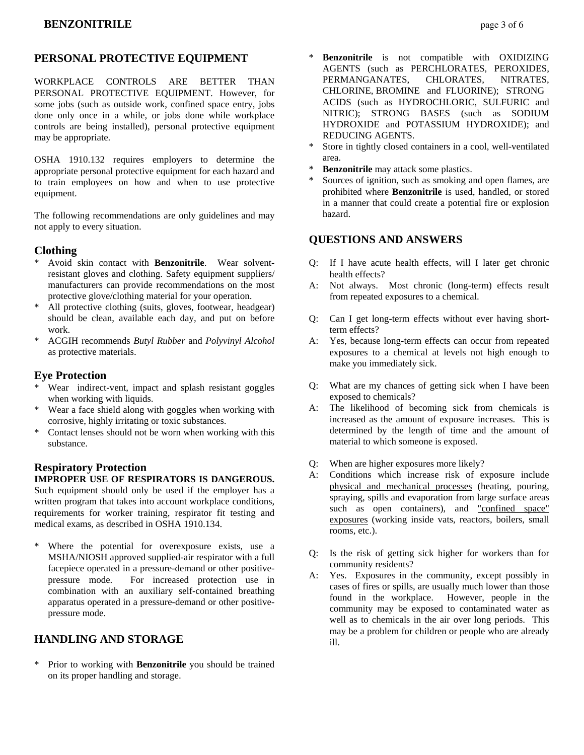# **PERSONAL PROTECTIVE EQUIPMENT**

WORKPLACE CONTROLS ARE BETTER THAN PERSONAL PROTECTIVE EQUIPMENT. However, for some jobs (such as outside work, confined space entry, jobs done only once in a while, or jobs done while workplace controls are being installed), personal protective equipment may be appropriate.

OSHA 1910.132 requires employers to determine the appropriate personal protective equipment for each hazard and to train employees on how and when to use protective equipment.

The following recommendations are only guidelines and may not apply to every situation.

## **Clothing**

- Avoid skin contact with **Benzonitrile**. Wear solventresistant gloves and clothing. Safety equipment suppliers/ manufacturers can provide recommendations on the most protective glove/clothing material for your operation.
- \* All protective clothing (suits, gloves, footwear, headgear) should be clean, available each day, and put on before work.
- \* ACGIH recommends *Butyl Rubber* and *Polyvinyl Alcohol* as protective materials.

## **Eye Protection**

- \* Wear indirect-vent, impact and splash resistant goggles when working with liquids.
- \* Wear a face shield along with goggles when working with corrosive, highly irritating or toxic substances.
- Contact lenses should not be worn when working with this substance.

# **Respiratory Protection**

#### **IMPROPER USE OF RESPIRATORS IS DANGEROUS.**

Such equipment should only be used if the employer has a written program that takes into account workplace conditions, requirements for worker training, respirator fit testing and medical exams, as described in OSHA 1910.134.

\* Where the potential for overexposure exists, use a MSHA/NIOSH approved supplied-air respirator with a full facepiece operated in a pressure-demand or other positivepressure mode. For increased protection use in combination with an auxiliary self-contained breathing apparatus operated in a pressure-demand or other positivepressure mode.

# **HANDLING AND STORAGE**

Prior to working with **Benzonitrile** you should be trained on its proper handling and storage.

- **Benzonitrile** is not compatible with OXIDIZING AGENTS (such as PERCHLORATES, PEROXIDES, PERMANGANATES, CHLORATES, NITRATES, CHLORINE, BROMINE and FLUORINE); STRONG ACIDS (such as HYDROCHLORIC, SULFURIC and NITRIC); STRONG BASES (such as SODIUM HYDROXIDE and POTASSIUM HYDROXIDE); and REDUCING AGENTS.
- \* Store in tightly closed containers in a cool, well-ventilated area.
- \* **Benzonitrile** may attack some plastics.
- Sources of ignition, such as smoking and open flames, are prohibited where **Benzonitrile** is used, handled, or stored in a manner that could create a potential fire or explosion hazard.

# **QUESTIONS AND ANSWERS**

- Q: If I have acute health effects, will I later get chronic health effects?
- A: Not always. Most chronic (long-term) effects result from repeated exposures to a chemical.
- Q: Can I get long-term effects without ever having shortterm effects?
- A: Yes, because long-term effects can occur from repeated exposures to a chemical at levels not high enough to make you immediately sick.
- Q: What are my chances of getting sick when I have been exposed to chemicals?
- A: The likelihood of becoming sick from chemicals is increased as the amount of exposure increases. This is determined by the length of time and the amount of material to which someone is exposed.
- Q: When are higher exposures more likely?
- A: Conditions which increase risk of exposure include physical and mechanical processes (heating, pouring, spraying, spills and evaporation from large surface areas such as open containers), and "confined space" exposures (working inside vats, reactors, boilers, small rooms, etc.).
- Q: Is the risk of getting sick higher for workers than for community residents?
- A: Yes. Exposures in the community, except possibly in cases of fires or spills, are usually much lower than those found in the workplace. However, people in the community may be exposed to contaminated water as well as to chemicals in the air over long periods. This may be a problem for children or people who are already ill.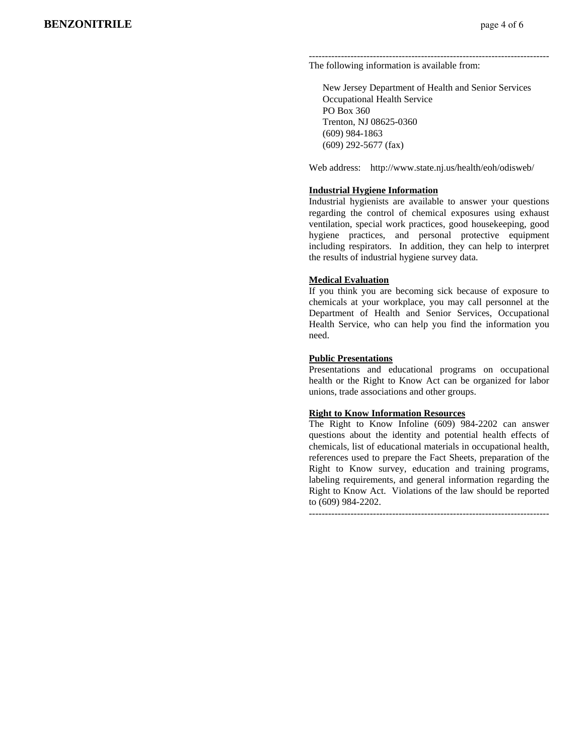#### --------------------------------------------------------------------------- The following information is available from:

 New Jersey Department of Health and Senior Services Occupational Health Service PO Box 360 Trenton, NJ 08625-0360 (609) 984-1863 (609) 292-5677 (fax)

Web address: http://www.state.nj.us/health/eoh/odisweb/

#### **Industrial Hygiene Information**

Industrial hygienists are available to answer your questions regarding the control of chemical exposures using exhaust ventilation, special work practices, good housekeeping, good hygiene practices, and personal protective equipment including respirators. In addition, they can help to interpret the results of industrial hygiene survey data.

#### **Medical Evaluation**

If you think you are becoming sick because of exposure to chemicals at your workplace, you may call personnel at the Department of Health and Senior Services, Occupational Health Service, who can help you find the information you need.

#### **Public Presentations**

Presentations and educational programs on occupational health or the Right to Know Act can be organized for labor unions, trade associations and other groups.

#### **Right to Know Information Resources**

The Right to Know Infoline (609) 984-2202 can answer questions about the identity and potential health effects of chemicals, list of educational materials in occupational health, references used to prepare the Fact Sheets, preparation of the Right to Know survey, education and training programs, labeling requirements, and general information regarding the Right to Know Act. Violations of the law should be reported to (609) 984-2202.

---------------------------------------------------------------------------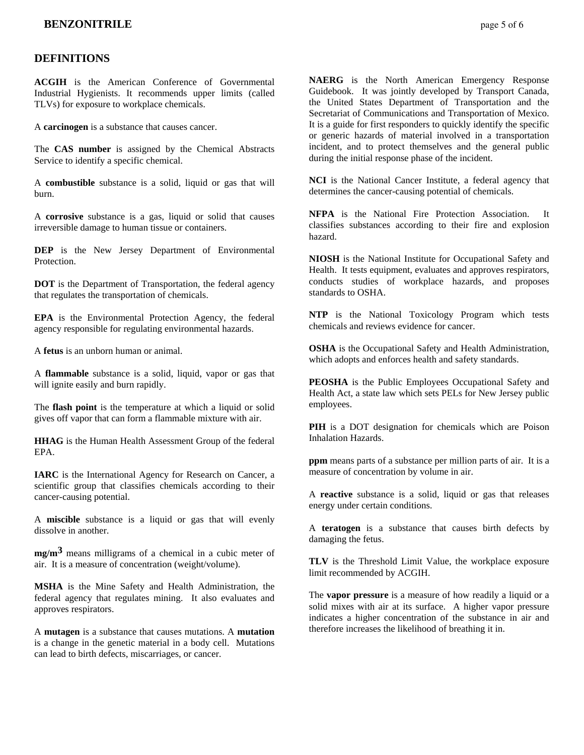# **DEFINITIONS**

**ACGIH** is the American Conference of Governmental Industrial Hygienists. It recommends upper limits (called TLVs) for exposure to workplace chemicals.

A **carcinogen** is a substance that causes cancer.

The **CAS number** is assigned by the Chemical Abstracts Service to identify a specific chemical.

A **combustible** substance is a solid, liquid or gas that will burn.

A **corrosive** substance is a gas, liquid or solid that causes irreversible damage to human tissue or containers.

**DEP** is the New Jersey Department of Environmental Protection.

**DOT** is the Department of Transportation, the federal agency that regulates the transportation of chemicals.

**EPA** is the Environmental Protection Agency, the federal agency responsible for regulating environmental hazards.

A **fetus** is an unborn human or animal.

A **flammable** substance is a solid, liquid, vapor or gas that will ignite easily and burn rapidly.

The **flash point** is the temperature at which a liquid or solid gives off vapor that can form a flammable mixture with air.

**HHAG** is the Human Health Assessment Group of the federal EPA.

**IARC** is the International Agency for Research on Cancer, a scientific group that classifies chemicals according to their cancer-causing potential.

A **miscible** substance is a liquid or gas that will evenly dissolve in another.

**mg/m3** means milligrams of a chemical in a cubic meter of air. It is a measure of concentration (weight/volume).

**MSHA** is the Mine Safety and Health Administration, the federal agency that regulates mining. It also evaluates and approves respirators.

A **mutagen** is a substance that causes mutations. A **mutation** is a change in the genetic material in a body cell. Mutations can lead to birth defects, miscarriages, or cancer.

**NAERG** is the North American Emergency Response Guidebook. It was jointly developed by Transport Canada, the United States Department of Transportation and the Secretariat of Communications and Transportation of Mexico. It is a guide for first responders to quickly identify the specific or generic hazards of material involved in a transportation incident, and to protect themselves and the general public during the initial response phase of the incident.

**NCI** is the National Cancer Institute, a federal agency that determines the cancer-causing potential of chemicals.

**NFPA** is the National Fire Protection Association. It classifies substances according to their fire and explosion hazard.

**NIOSH** is the National Institute for Occupational Safety and Health. It tests equipment, evaluates and approves respirators, conducts studies of workplace hazards, and proposes standards to OSHA.

**NTP** is the National Toxicology Program which tests chemicals and reviews evidence for cancer.

**OSHA** is the Occupational Safety and Health Administration, which adopts and enforces health and safety standards.

**PEOSHA** is the Public Employees Occupational Safety and Health Act, a state law which sets PELs for New Jersey public employees.

**PIH** is a DOT designation for chemicals which are Poison Inhalation Hazards.

**ppm** means parts of a substance per million parts of air. It is a measure of concentration by volume in air.

A **reactive** substance is a solid, liquid or gas that releases energy under certain conditions.

A **teratogen** is a substance that causes birth defects by damaging the fetus.

**TLV** is the Threshold Limit Value, the workplace exposure limit recommended by ACGIH.

The **vapor pressure** is a measure of how readily a liquid or a solid mixes with air at its surface. A higher vapor pressure indicates a higher concentration of the substance in air and therefore increases the likelihood of breathing it in.